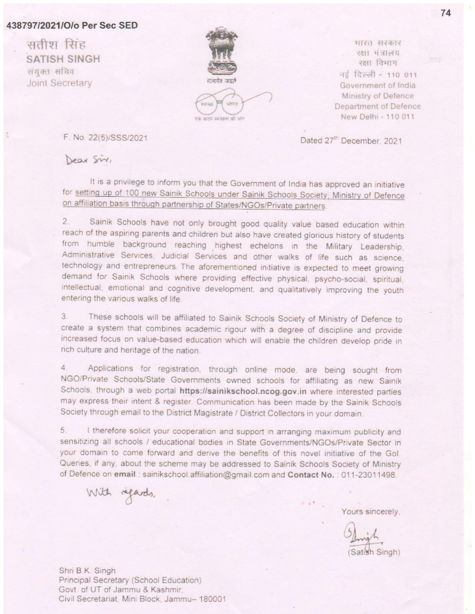### 438797/2021/O/o Per Sec SED

सतीश सिंह **SATISH SINGH** संयुक्त सचिव **Joint Secretary** 



मारत सरकार एक्षा मंत्रालय रक्षा विभाग नई दिल्ली - 110 011 Government of India Ministry of Defence Department of Defence New Delhi - 110 011

Dated 27<sup>th</sup> December, 2021

F. No. 22(5)/SSS/2021

Dear Sir,

It is a privilege to inform you that the Government of India has approved an initiative for setting up of 100 new Sainik Schools under Sainik Schools Society, Ministry of Defence on affiliation basis through partnership of States/NGOs/Private partners.

 $2.$ Sainik Schools have not only brought good quality value based education within reach of the aspiring parents and children but also have created glorious history of students from humble background reaching highest echelons in the Military Leadership, Administrative Services, Judicial Services and other walks of life such as science, technology and entrepreneurs. The aforementioned initiative is expected to meet growing demand for Sainik Schools where providing effective physical, psycho-social, spiritual, intellectual, emotional and cognitive development, and qualitatively improving the youth entering the various walks of life.

3. These schools will be affiliated to Sainik Schools Society of Ministry of Defence to create a system that combines academic rigour with a degree of discipline and provide increased focus on value-based education which will enable the children develop pride in rich culture and heritage of the nation.

4. Applications for registration, through online mode, are being sought from NGO/Private Schools/State Governments owned schools for affiliating as new Sainik Schools, through a web portal https://sainikschool.ncog.gov.in where interested parties may express their intent & register. Communication has been made by the Sainik Schools Society through email to the District Magistrate / District Collectors in your domain.

5. I therefore solicit your cooperation and support in arranging maximum publicity and sensitizing all schools / educational bodies in State Governments/NGOs/Private Sector in your domain to come forward and derive the benefits of this novel initiative of the Gol. Queries, if any, about the scheme may be addressed to Sainik Schools Society of Ministry of Defence on email: sainikschool.affiliation@gmail.com and Contact No.: 011-23011498.

With regards,

Yours sincerely.

(Satish Singh)

74

Shri B.K. Singh Principal Secretary (School Education) Govt. of UT of Jammu & Kashmir, Civil Secretariat, Mini Block, Jammu- 180001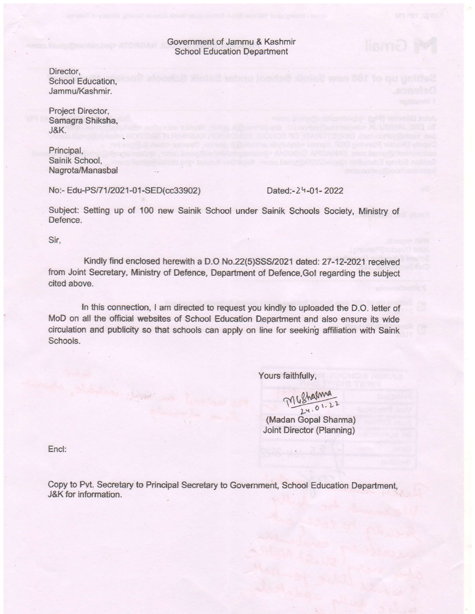Government of Jammu & Kashmir School Education Department

Director, School Education. Jammu/Kashmir.

Project Director, Samagra Shiksha, J&K.

Principal, Sainik School, Nagrota/Manasbal

No:- Edu-PS/71/2021-01-SED(cc33902) Dated:-24-01-2022

Same of

Subject: Setting up of 100 new Sainik School under Sainik Schools Society, Ministry of Defence.

Sir,

Kindly find enclosed herewith a D.O No.22(5)SSS/2021 dated: 27-12-2021 received from Joint Secretary, Ministry of Defence, Department of Defence, Gol regarding the subject cited above.

In this connection, I am directed to request you kindly to uploaded the D.O. letter of MoD on all the official websites of School Education Department and also ensure its wide circulation and publicity so that schools can apply on line for seeking affiliation with Saink Schools.

Yours faithfully,

(Madan Gopal Sharma) Joint Director (Planning)  $7168$  harma

End:

Copy to Pvt. Secretary to Principal Secretary to Government, School Education Department, J&K for information.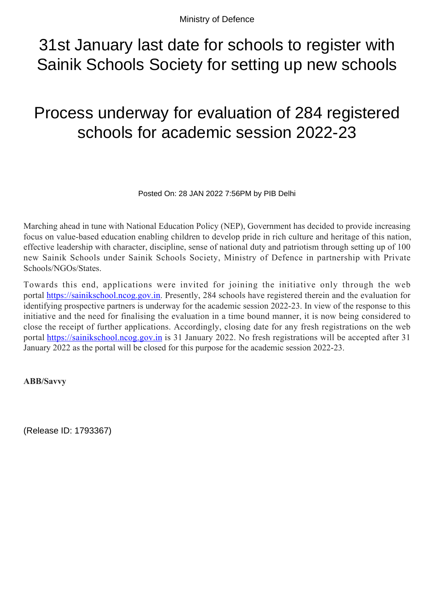# 31st January last date for schools to register with Sainik Schools Society for setting up new schools

# Process underway for evaluation of 284 registered schools for academic session 2022-23

Posted On: 28 JAN 2022 7:56PM by PIB Delhi

Marching ahead in tune with National Education Policy (NEP), Government has decided to provide increasing focus on value-based education enabling children to develop pride in rich culture and heritage of this nation, effective leadership with character, discipline, sense of national duty and patriotism through setting up of 100 new Sainik Schools under Sainik Schools Society, Ministry of Defence in partnership with Private Schools/NGOs/States.

Towards this end, applications were invited for joining the initiative only through the web portal [https://sainikschool.ncog.gov.in.](https://sainikschool.ncog.gov.in/) Presently, 284 schools have registered therein and the evaluation for identifying prospective partners is underway for the academic session 2022-23. In view of the response to this initiative and the need for finalising the evaluation in a time bound manner, it is now being considered to close the receipt of further applications. Accordingly, closing date for any fresh registrations on the web portal [https://sainikschool.ncog.gov.in](https://sainikschool.ncog.gov.in/) is 31 January 2022. No fresh registrations will be accepted after 31 January 2022 as the portal will be closed for this purpose for the academic session 2022-23.

### **ABB/Savvy**

(Release ID: 1793367)